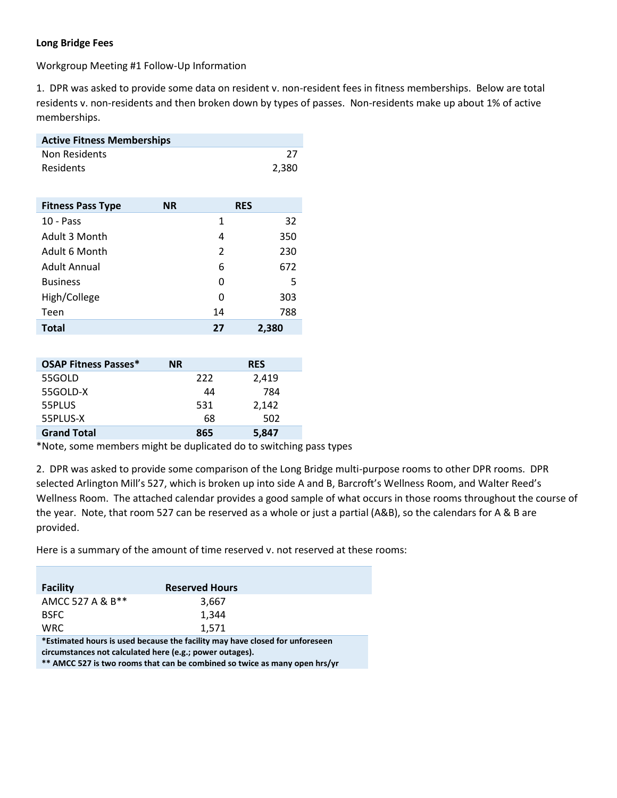### **Long Bridge Fees**

Workgroup Meeting #1 Follow-Up Information

1. DPR was asked to provide some data on resident v. non-resident fees in fitness memberships. Below are total residents v. non-residents and then broken down by types of passes. Non-residents make up about 1% of active memberships.

| <b>Active Fitness Memberships</b> |           |            |       |  |  |  |
|-----------------------------------|-----------|------------|-------|--|--|--|
| Non Residents                     |           |            | 27    |  |  |  |
| Residents                         |           |            | 2,380 |  |  |  |
|                                   |           |            |       |  |  |  |
| <b>Fitness Pass Type</b>          | <b>NR</b> | <b>RES</b> |       |  |  |  |
| $10 - Pass$                       |           | 1          | 32    |  |  |  |
| Adult 3 Month                     |           | 4          | 350   |  |  |  |
| Adult 6 Month                     |           | 2          | 230   |  |  |  |
| Adult Annual                      |           | 6          | 672   |  |  |  |
| <b>Business</b>                   |           | 0          | 5     |  |  |  |
| High/College                      |           | O          | 303   |  |  |  |

Teen 14 788 **Total 27 2,380** 

| <b>OSAP Fitness Passes*</b> | <b>NR</b> | <b>RES</b> |
|-----------------------------|-----------|------------|
| 55GOLD                      | 222       | 2,419      |
| 55GOLD-X                    | 44        | 784        |
| 55PLUS                      | 531       | 2,142      |
| 55PLUS-X                    | 68        | 502        |
| <b>Grand Total</b>          | 865       | 5,847      |

\*Note, some members might be duplicated do to switching pass types

2. DPR was asked to provide some comparison of the Long Bridge multi-purpose rooms to other DPR rooms. DPR selected Arlington Mill's 527, which is broken up into side A and B, Barcroft's Wellness Room, and Walter Reed's Wellness Room. The attached calendar provides a good sample of what occurs in those rooms throughout the course of the year. Note, that room 527 can be reserved as a whole or just a partial (A&B), so the calendars for A & B are provided.

Here is a summary of the amount of time reserved v. not reserved at these rooms:

| <b>Facility</b>                                                                                                                                                                                | <b>Reserved Hours</b> |  |  |  |
|------------------------------------------------------------------------------------------------------------------------------------------------------------------------------------------------|-----------------------|--|--|--|
| AMCC 527 A & B**                                                                                                                                                                               | 3,667                 |  |  |  |
| <b>BSFC</b>                                                                                                                                                                                    | 1.344                 |  |  |  |
| <b>WRC</b>                                                                                                                                                                                     | 1.571                 |  |  |  |
| *Estimated hours is used because the facility may have closed for unforeseen<br>그 그 사람들은 그 사람들은 그 사람들은 그 사람들을 지르며 그 사람들을 지르며 그 사람들을 지르며 그 사람들을 지르며 그 사람들을 지르며 그 사람들을 지르며 그 사람들을 지르며 그 사람들을 지르며 |                       |  |  |  |

**circumstances not calculated here (e.g.; power outages).** 

**\*\* AMCC 527 is two rooms that can be combined so twice as many open hrs/yr**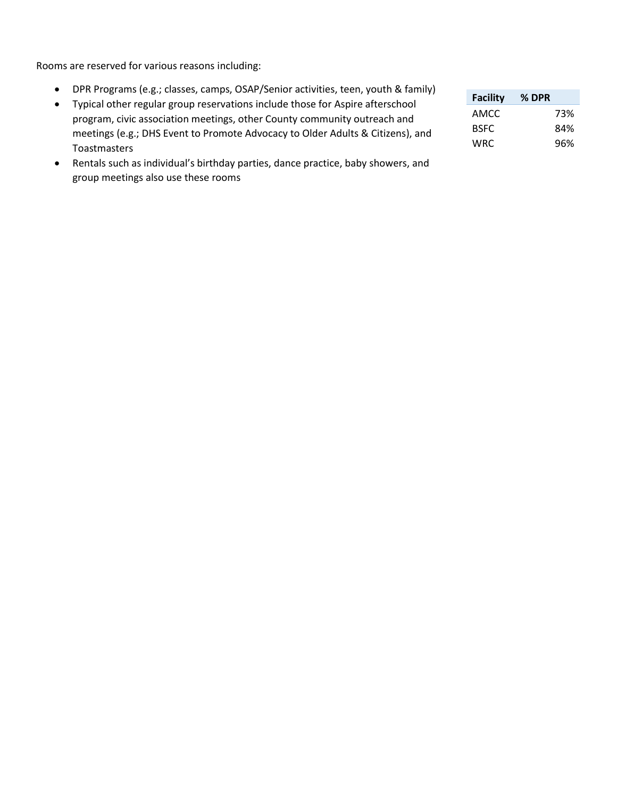Rooms are reserved for various reasons including:

- DPR Programs (e.g.; classes, camps, OSAP/Senior activities, teen, youth & family)
- Typical other regular group reservations include those for Aspire afterschool program, civic association meetings, other County community outreach and meetings (e.g.; DHS Event to Promote Advocacy to Older Adults & Citizens), and Toastmasters
- Rentals such as individual's birthday parties, dance practice, baby showers, and group meetings also use these rooms

| <b>Facility</b> | % DPR |
|-----------------|-------|
| AMCC            | 73%   |
| <b>BSFC</b>     | 84%   |
| WRC             | 96%   |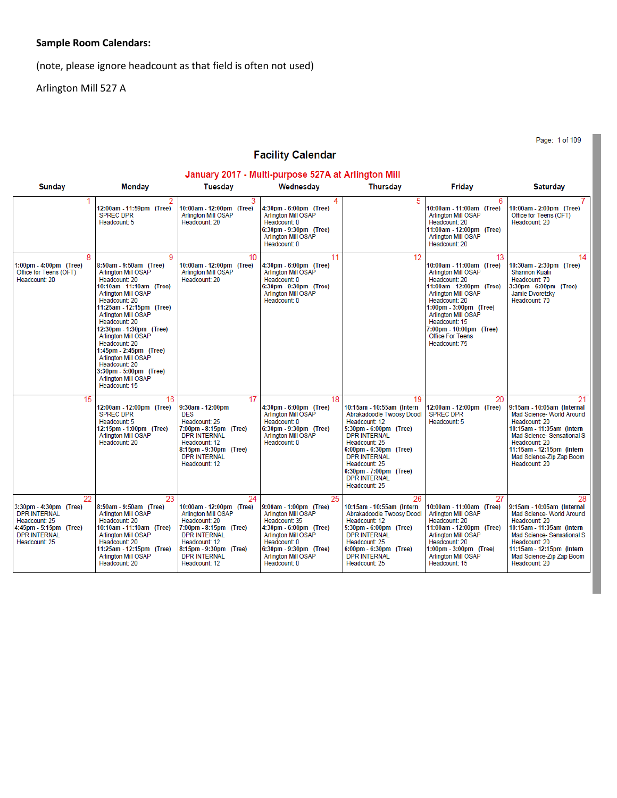# **Sample Room Calendars:**

(note, please ignore headcount as that field is often not used)

Arlington Mill 527 A

Page: 1 of 109

# **Facility Calendar**

| January 2017 - Multi-purpose 527A at Arlington Mill                                                                                    |                                                                                                                                                                                                                                                                                                                                                                                                                                         |                                                                                                                                                                                                                   |                                                                                                                                                                                                               |                                                                                                                                                                                                                                                                                     |                                                                                                                                                                                                                                                                                                   |                                                                                                                                                                                                                                       |
|----------------------------------------------------------------------------------------------------------------------------------------|-----------------------------------------------------------------------------------------------------------------------------------------------------------------------------------------------------------------------------------------------------------------------------------------------------------------------------------------------------------------------------------------------------------------------------------------|-------------------------------------------------------------------------------------------------------------------------------------------------------------------------------------------------------------------|---------------------------------------------------------------------------------------------------------------------------------------------------------------------------------------------------------------|-------------------------------------------------------------------------------------------------------------------------------------------------------------------------------------------------------------------------------------------------------------------------------------|---------------------------------------------------------------------------------------------------------------------------------------------------------------------------------------------------------------------------------------------------------------------------------------------------|---------------------------------------------------------------------------------------------------------------------------------------------------------------------------------------------------------------------------------------|
| <b>Sunday</b>                                                                                                                          | <b>Monday</b>                                                                                                                                                                                                                                                                                                                                                                                                                           | <b>Tuesday</b>                                                                                                                                                                                                    | Wednesday                                                                                                                                                                                                     | <b>Thursday</b>                                                                                                                                                                                                                                                                     | Friday                                                                                                                                                                                                                                                                                            | <b>Saturday</b>                                                                                                                                                                                                                       |
|                                                                                                                                        | 12:00am - 11:59pm (Tree)<br><b>SPREC DPR</b><br>Headcount: 5                                                                                                                                                                                                                                                                                                                                                                            | 3<br>10:00am - 12:00pm (Tree)<br><b>Arlington Mill OSAP</b><br>Headcount: 20                                                                                                                                      | 4<br>4:30pm - 6:00pm (Tree)<br><b>Arlington Mill OSAP</b><br>Headcount: 0<br>6:30pm - 9:30pm (Tree)<br>Arlington Mill OSAP<br>Headcount: 0                                                                    | 5                                                                                                                                                                                                                                                                                   | 6<br>10:00am - 11:00am (Tree)<br>Arlington Mill OSAP<br>Headcount: 20<br>11:00am - 12:00pm (Tree)<br>Arlington Mill OSAP<br>Headcount: 20                                                                                                                                                         | 10:00am - 2:00pm (Tree)<br>Office for Teens (OFT)<br>Headcount: 20                                                                                                                                                                    |
| 8<br>1:00pm - 4:00pm (Tree)<br>Office for Teens (OFT)<br>Headcount: 20                                                                 | 9<br>8:50am - 9:50am (Tree)<br>Arlington Mill OSAP<br>Headcount: 20<br>10:10am - 11:10am (Tree)<br>Arlington Mill OSAP<br>Headcount: 20<br>11:25am - 12:15pm (Tree)<br><b>Arlington Mill OSAP</b><br>Headcount: 20<br>12:30pm - 1:30pm (Tree)<br><b>Arlington Mill OSAP</b><br>Headcount: 20<br>1:45pm - 2:45pm (Tree)<br><b>Arlington Mill OSAP</b><br>Headcount: 20<br>3:30pm - 5:00pm (Tree)<br>Arlington Mill OSAP<br>Headcount: 15 | 10<br>10:00am - 12:00pm (Tree)<br>Arlington Mill OSAP<br>Headcount: 20                                                                                                                                            | 11<br>4:30pm - 6:00pm (Tree)<br>Arlington Mill OSAP<br>Headcount: 0<br>6:30pm - 9:30pm (Tree)<br><b>Arlington Mill OSAP</b><br>Headcount: 0                                                                   | 12                                                                                                                                                                                                                                                                                  | 13<br>10:00am - 11:00am (Tree)<br>Arlington Mill OSAP<br>Headcount: 20<br>11:00am - 12:00pm (Tree)<br><b>Arlington Mill OSAP</b><br>Headcount: 20<br>1:00pm - 3:00pm (Tree)<br><b>Arlington Mill OSAP</b><br>Headcount: 15<br>7:00pm - 10:00pm (Tree)<br><b>Office For Teens</b><br>Headcount: 75 | 14<br>10:30am - 2:30pm (Tree)<br>Shannon Kualii<br>Headcount: 70<br>3:30pm - 6:00pm (Tree)<br>Jamie Dvoretzky<br>Headcount: 70                                                                                                        |
| 15                                                                                                                                     | 16<br>12:00am - 12:00pm (Tree)<br><b>SPREC DPR</b><br>Headcount: 5<br>12:15pm - 1:00pm (Tree)<br><b>Arlington Mill OSAP</b><br>Headcount: 20                                                                                                                                                                                                                                                                                            | 17<br>9:30am - 12:00pm<br><b>DES</b><br>Headcount: 25<br>7:00pm - 8:15pm (Tree)<br><b>DPR INTERNAL</b><br>Headcount: 12<br>8:15pm - 9:30pm (Tree)<br><b>DPR INTERNAL</b><br>Headcount: 12                         | 18<br>4:30pm - 6:00pm (Tree)<br>Arlington Mill OSAP<br>Headcount: 0<br>6:30pm - 9:30pm (Tree)<br>Arlington Mill OSAP<br>Headcount: 0                                                                          | 19<br>10:15am - 10:55am (Intern<br>Abrakadoodle Twoosy Doodl<br>Headcount: 12<br>5:30pm - 6:00pm (Tree)<br><b>DPR INTERNAL</b><br>Headcount: 25<br>6:00pm - 6:30pm (Tree)<br><b>DPR INTERNAL</b><br>Headcount: 25<br>6:30pm - 7:00pm (Tree)<br><b>DPR INTERNAL</b><br>Headcount: 25 | 20<br>12:00am - 12:00pm (Tree)<br><b>SPREC DPR</b><br>Headcount: 5                                                                                                                                                                                                                                | 9:15am - 10:05am (Internal<br>Mad Science- World Around<br>Headcount: 20<br>10:15am - 11:05am (Intern)<br>Mad Science- Sensational S<br>Headcount: 20<br>11:15am - 12:15pm (Intern)<br>Mad Science-Zip Zap Boom<br>Headcount: 20      |
| 22<br>3:30pm - 4:30pm (Tree)<br><b>DPR INTERNAL</b><br>Headcount: 25<br>1:45pm - 5:15pm (Tree)<br><b>DPR INTERNAL</b><br>Headcount: 25 | 23<br>8:50am - 9:50am (Tree)<br><b>Arlington Mill OSAP</b><br>Headcount: 20<br>10:10am - 11:10am (Tree)<br>Arlington Mill OSAP<br>Headcount: 20<br>11:25am - 12:15pm (Tree)<br><b>Arlington Mill OSAP</b><br>Headcount: 20                                                                                                                                                                                                              | 24<br>10:00am - 12:00pm (Tree)<br><b>Arlington Mill OSAP</b><br>Headcount: 20<br>7:00pm - 8:15pm (Tree)<br><b>DPR INTERNAL</b><br>Headcount: 12<br>8:15pm - 9:30pm (Tree)<br><b>DPR INTERNAL</b><br>Headcount: 12 | 25<br>9:00am - 1:00pm (Tree)<br><b>Arlington Mill OSAP</b><br>Headcount: 35<br>4:30pm - 6:00pm (Tree)<br>Arlington Mill OSAP<br>Headcount: 0<br>6:30pm - 9:30pm (Tree)<br>Arlington Mill OSAP<br>Headcount: 0 | 26<br>10:15am - 10:55am (Intern<br>Abrakadoodle Twoosy Doodl<br>Headcount: 12<br>5:30pm - 6:00pm (Tree)<br><b>DPR INTERNAL</b><br>Headcount: 25<br>6:00pm - 6:30pm (Tree)<br><b>DPR INTERNAL</b><br>Headcount: 25                                                                   | 27<br>10:00am - 11:00am (Tree)<br>Arlington Mill OSAP<br>Headcount: 20<br>11:00am - 12:00pm (Tree)<br>Arlington Mill OSAP<br>Headcount: 20<br>1:00pm - 3:00pm (Tree)<br>Arlington Mill OSAP<br>Headcount: 15                                                                                      | 28<br>9:15am - 10:05am (Internal<br>Mad Science- World Around<br>Headcount: 20<br>10:15am - 11:05am (Intern<br>Mad Science- Sensational S<br>Headcount: 20<br>11:15am - 12:15pm (Intern)<br>Mad Science-Zip Zap Boom<br>Headcount: 20 |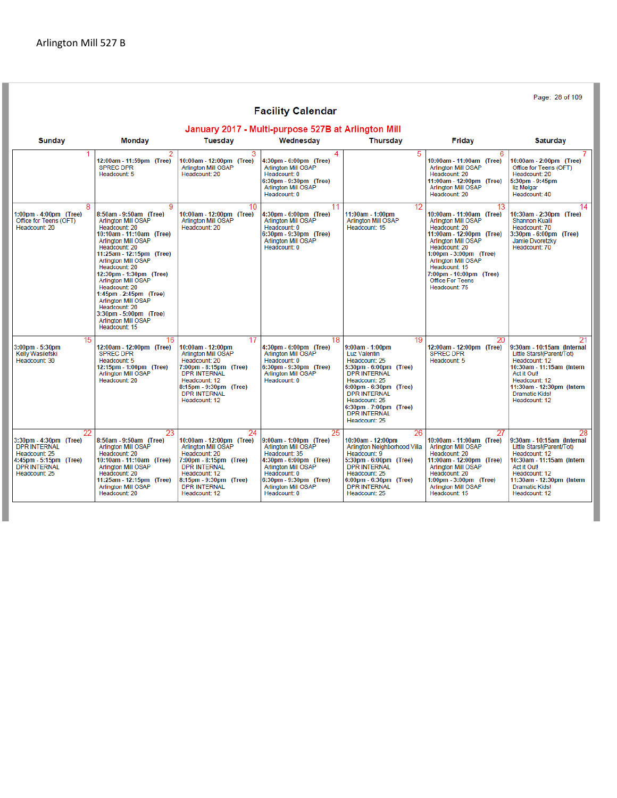Page: 28 of 109 **Facility Calendar** January 2017 - Multi-purpose 527B at Arlington Mill **Tuesday** Wednesday **Thursday Sunday Monday** Fridav **Saturday** 12:00am - 11:59pm (Tree) 10:00am - 12:00pm (Tree) 4:30pm - 6:00pm (Tree) 10:00am - 11:00am (Tree) 10:00am - 2:00pm (Tree) SPREC DPR<br>Headcount: 5 Arlington Mill OSAP<br>Headcount: 20 Arlington Mill OSAP<br>Headcount: 20 Office for Teens (OFT)<br>Headcount: 20 Arlington Mill OSAP Headcount: 0 6:30pm - 9:30pm (Tree)<br>Arlington Mill OSAP 11:00am - 12:00pm (Tree)<br>Arlington Mill OSAP 5:30pm - 9:45pm<br>liz Melgar Headcount: 0 Headcount: 20 Headcount: 40  $14$ 9 10 8:50am - 9:50am (Tree)<br>Arlington Mill OSAP 10:00am - 12:00pm (Tree)<br>Arlington Mill OSAP 4:30pm - 6:00pm (Tree)<br>Arlington Mill OSAP 10:00am - 11:00am (Tree)<br>Arlington Mill OSAP 10:30am - 2:30pm (Tree)  $1:00 \text{pm} - 4:00 \text{pm}$  (Tree) 11:00am - 1:00pm Arlington Mill OSAP<br>Headcount: 15 Office for Teens (OFT) Shannon Kualii Headcount: 70<br>3:30pm - 6:00pm (Tree)<br>Jamie Dvoretzky Headcount: 20 Headcount: 20 Headcount: 20 Headcount: 20 Headcount: 0 10:10am - 11:10am (Tree)<br>Arlington Mill OSAP 6:30pm - 9:30pm (Tree)<br>Arlington Mill OSAP 11:00am - 12:00pm (Tree)<br>Arlington Mill OSAP Headcount: 20<br>1:00pm - 3:00pm (Tree) Headcount: 20<br>11:25am - 12:15pm (Tree) Headcount: 0 Headcount: 70 Arlington Mill OSAP<br>Headcount: 20 Arlington Mill OSAP<br>Headcount: 15 12:30pm - 1:30pm (Tree)<br>Arlington Mill OSAP 7:00pm - 10:00pm (Tree) Office For Teens Headcount: 20<br>1:45pm - 2:45pm (Tree) Headcount: 75 Arlington Mill OSAP Headcount: 20 3:30pm - 5:00pm (Tree)<br>Arlington Mill OSAP Headcount: 15 15 19 20 4:30pm - 6:00pm (Tree)<br>Arlington Mill OSAP ...<br>12:00am - 12:00pm (Tree) 12:00am - 12:00pm (Tree)  $3:00$ pm -  $5:30$ pm 10:00am - 12:00pm  $9:00$ am - 1:00pm  $9:30$ am - 10:15am (Internal 9.00am - 1.00pm<br>Luz Valentin<br>Feadcount: 25<br>5:30pm - 6:00pm (Tree)<br>DPR INTERNAL Kelly Wasilefski SPREC DPR Arlington Mill OSAP SPREC DPR Little Stars!(Parent/Tot) Headcount: 20<br>7:00pm - 8:15pm (Tree)<br>DPR INTERNAL Headcount: 0<br>6:30pm - 9:30pm (Tree)<br>Arlington Mill OSAP Headcount: 12<br>10:30am - 11:15am (Intern<br>Act it Out! Headcount: 30 Headcount: 5 Headcount: 5 12:15pm - 1:00pm (Tree)<br>Arlington Mill OSAP Headcount: 12<br>11:30am - 12:30pm (Intern Headcount: 20 Headcount: 12 Headcount: 0 Headcount: 25 8:15pm - 9:30pm (Tree) 6:00pm - 6:30pm (Tree) DPR INTERNAL<br>Headcount: 12 DPR INTERNAL Dramatic Kids! Headcount: 12 Headcount: 25 6:30pm - 7:00pm (Tree)<br>DPR INTERNAL Headcount: 25  $\overline{2}$ 23  $24$ つら 26  $\overline{2}$ ንՋ 9:00am - 1:00pm (Tree)<br>Arlington Mill OSAP 8:50am - 9:50am (Tree)<br>Arlington Mill OSAP 10:00am - 12:00pm (Tree) 10:00am - 11:00am (Tree) 3:30pm - 4:30pm (Tree)<br>DPR INTERNAL 10:00am - 12:00pm 9:30am - 10:15am (Internal Arlington Mill OSAP Arlington Neighborhood Villa Arlington Mill OSAP Little Stars!(Parent/Tot) Headcount: 20 Headcount: 35 Headcount: 25 Headcount: 20 Headcount: 9 Headcount: 20 Headcount: 12 Headcount: 35<br>4:30pm - 6:00pm (Tree)<br>Arlington Mill OSAP<br>Headcount: 0<br>6:30pm - 9:30pm (Tree)<br>Arlington Mill OSAP<br>Headcount: 0 Headcount. 20<br>10:10am - 11:10am (Tree)<br>Arlington Mill OSAP<br>Headcount: 20<br>11:25am - 12:15pm (Tree) 4:45pm - 5:15pm (Tree)<br>DPR INTERNAL 11:00am - 12:00pm (Tree)<br>Arlington Mill OSAP 7:00pm - 8:15pm (Tree) 5:30pm - 6:00pm (Tree) 10:30am - 11:15am (Intern **DPR INTERNAL** DPR INTERNAL Act it Outl Anington Mill<br>Headcount: 20<br>1:00pm - 3:00pm (Tree)<br>Arlington Mill OSAP<br>Headcount: 15 Headcount: 12<br>8:15pm - 9:30pm (Tree) Headcount: 12<br>11:30am - 12:30pm (Intern Headcount: 25 Headcount: 25  $6:00 \text{pm} - 6:30 \text{pm}$  (Tree) Arlington Mill OSAP<br>Headcount: 20 DPR INTERNAL DPR INTERNAL<br>Headcount: 25 Dramatic Kids!<br>Headcount: 12 Headcount: 12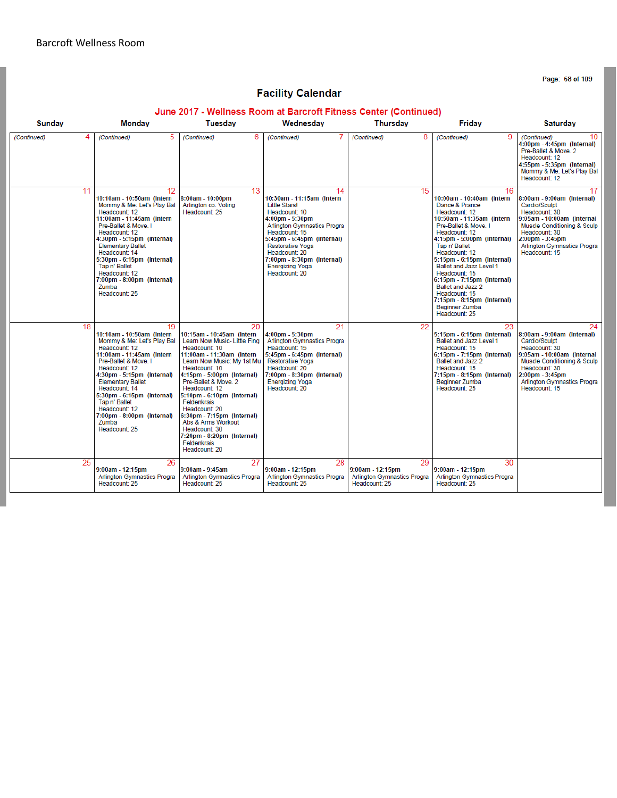Page: 68 of 109

# **Facility Calendar**

#### June 2017 - Wellness Room at Barcroft Fitness Center (Continued)

| <b>Sunday</b> | Monday                                                                                                                                                                                                                                                                                                                                                    | <b>Tuesdav</b>                                                                                                                                                                                                                                                                                                                                                                                                                        | Wednesdav                                                                                                                                                                                                                                                                                      | <b>Thursday</b>                                                                 | Friday                                                                                                                                                                                                                                                                                                                                                                                                                  | <b>Saturday</b>                                                                                                                                                                                                            |
|---------------|-----------------------------------------------------------------------------------------------------------------------------------------------------------------------------------------------------------------------------------------------------------------------------------------------------------------------------------------------------------|---------------------------------------------------------------------------------------------------------------------------------------------------------------------------------------------------------------------------------------------------------------------------------------------------------------------------------------------------------------------------------------------------------------------------------------|------------------------------------------------------------------------------------------------------------------------------------------------------------------------------------------------------------------------------------------------------------------------------------------------|---------------------------------------------------------------------------------|-------------------------------------------------------------------------------------------------------------------------------------------------------------------------------------------------------------------------------------------------------------------------------------------------------------------------------------------------------------------------------------------------------------------------|----------------------------------------------------------------------------------------------------------------------------------------------------------------------------------------------------------------------------|
| (Continued)   | 5<br>(Continued)                                                                                                                                                                                                                                                                                                                                          | (Continued)<br>6                                                                                                                                                                                                                                                                                                                                                                                                                      | (Continued)                                                                                                                                                                                                                                                                                    | 8<br>(Continued)                                                                | 9<br>(Continued)                                                                                                                                                                                                                                                                                                                                                                                                        | 10<br>(Continued)<br>4:00pm - 4:45pm (Internal)<br>Pre-Ballet & Move, 2<br>Headcount: 12<br>4:55pm - 5:35pm (Internal)<br>Mommy & Me: Let's Play Bal<br>Headcount: 12                                                      |
| 11            | 12<br>10:10am - 10:50am (Intern<br>Mommy & Me: Let's Play Bal<br>Headcount: 12<br>11:00am - 11:45am (Intern<br>Pre-Ballet & Move, I<br>Headcount: 12<br>4:30pm - 5:15pm (Internal)<br><b>Elementary Ballet</b><br>Headcount: 14<br>5:30pm - 6:15pm (Internal)<br>Tap n' Ballet<br>Headcount: 12<br>7:00pm - 8:00pm (Internal)<br>Zumba<br>Headcount: 25   | 13<br>8:00am - 10:00pm<br>Arlington co. Voting<br>Headcount: 25                                                                                                                                                                                                                                                                                                                                                                       | 14<br>10:30am - 11:15am (Intern<br><b>Little Stars!</b><br>Headcount: 10<br>4:00pm - 5:30pm<br><b>Arlington Gymnastics Progra</b><br>Headcount: 15<br>5:45pm - 6:45pm (Internal)<br>Restorative Yoga<br>Headcount: 20<br>7:00pm - 8:30pm (Internal)<br><b>Energizing Yoga</b><br>Headcount: 20 | 15                                                                              | 16<br>10:00am - 10:40am (Intern<br>Dance & Prance<br>Headcount: 12<br>10:50am - 11:35am (Intern<br>Pre-Ballet & Move. I<br>Headcount: 12<br>4:15pm - 5:00pm (Internal)<br>Tap n' Ballet<br>Headcount: 12<br>5:15pm - 6:15pm (Internal)<br>Ballet and Jazz Level 1<br>Headcount: 15<br>6:15pm - 7:15pm (Internal)<br>Ballet and Jazz 2<br>Headcount: 15<br>7:15pm - 8:15pm (Internal)<br>Beginner Zumba<br>Headcount: 25 | 17<br>8:00am - 9:00am (Internal)<br>Cardio/Sculpt<br>Headcount: 30<br>9:05am - 10:00am (Internal<br>Muscle Conditioning & Sculp<br>Headcount: 30<br>2:00pm - 3:45pm<br><b>Arlington Gymnastics Progra</b><br>Headcount: 15 |
| 18            | 19<br>10:10am - 10:50am (Intern)<br>Mommy & Me: Let's Play Bal<br>Headcount: 12<br>11:00am - 11:45am (Intern)<br>Pre-Ballet & Move. I<br>Headcount: 12<br>4:30pm - 5:15pm (Internal)<br><b>Elementary Ballet</b><br>Headcount: 14<br>5:30pm - 6:15pm (Internal)<br>Tap n' Ballet<br>Headcount: 12<br>7:00pm - 8:00pm (Internal)<br>Zumba<br>Headcount: 25 | 20<br>10:15am - 10:45am (Intern)<br>Learn Now Music- Little Fing<br>Headcount: 10<br>11:00am - 11:30am (Intern<br>Learn Now Music: My 1st Mu<br>Headcount: 10<br>4:15pm - 5:00pm (Internal)<br>Pre-Ballet & Move, 2<br>Headcount: 12<br>5:10pm - 6:10pm (Internal)<br>Feldenkrais<br>Headcount: 20<br>6:30pm - 7:15pm (Internal)<br>Abs & Arms Workout<br>Headcount: 30<br>7:20pm - 8:20pm (Internal)<br>Feldenkrais<br>Headcount: 20 | 21<br>$4:00 \text{pm} - 5:30 \text{pm}$<br><b>Arlington Gymnastics Progra</b><br>Headcount: 15<br>5:45pm - 6:45pm (Internal)<br><b>Restorative Yoga</b><br>Headcount: 20<br>7:00pm - 8:30pm (Internal)<br><b>Energizing Yoga</b><br>Headcount: 20                                              | 22                                                                              | 23<br>5:15pm - 6:15pm (Internal)<br>Ballet and Jazz Level 1<br>Headcount: 15<br>6:15pm - 7:15pm (Internal)<br>Ballet and Jazz 2<br>Headcount: 15<br>7:15pm - 8:15pm (Internal)<br><b>Beginner Zumba</b><br>Headcount: 25                                                                                                                                                                                                | 24<br>8:00am - 9:00am (Internal)<br>Cardio/Sculpt<br>Headcount: 30<br>9:05am - 10:00am (Internal<br>Muscle Conditioning & Sculp<br>Headcount: 30<br>2:00pm - 3:45pm<br><b>Arlington Gymnastics Progra</b><br>Headcount: 15 |
| 25            | 26<br>$9:00am - 12:15pm$<br><b>Arlington Gymnastics Progra</b><br>Headcount: 25                                                                                                                                                                                                                                                                           | 27<br>$9:00$ am - $9:45$ am<br><b>Arlington Gymnastics Progra</b><br>Headcount: 25                                                                                                                                                                                                                                                                                                                                                    | 28<br>9:00am - 12:15pm<br><b>Arlington Gymnastics Progra</b><br>Headcount: 25                                                                                                                                                                                                                  | 29<br>$9:00am - 12:15pm$<br><b>Arlington Gymnastics Progra</b><br>Headcount: 25 | 30<br>9:00am - 12:15pm<br><b>Arlington Gymnastics Progra</b><br>Headcount: 25                                                                                                                                                                                                                                                                                                                                           |                                                                                                                                                                                                                            |